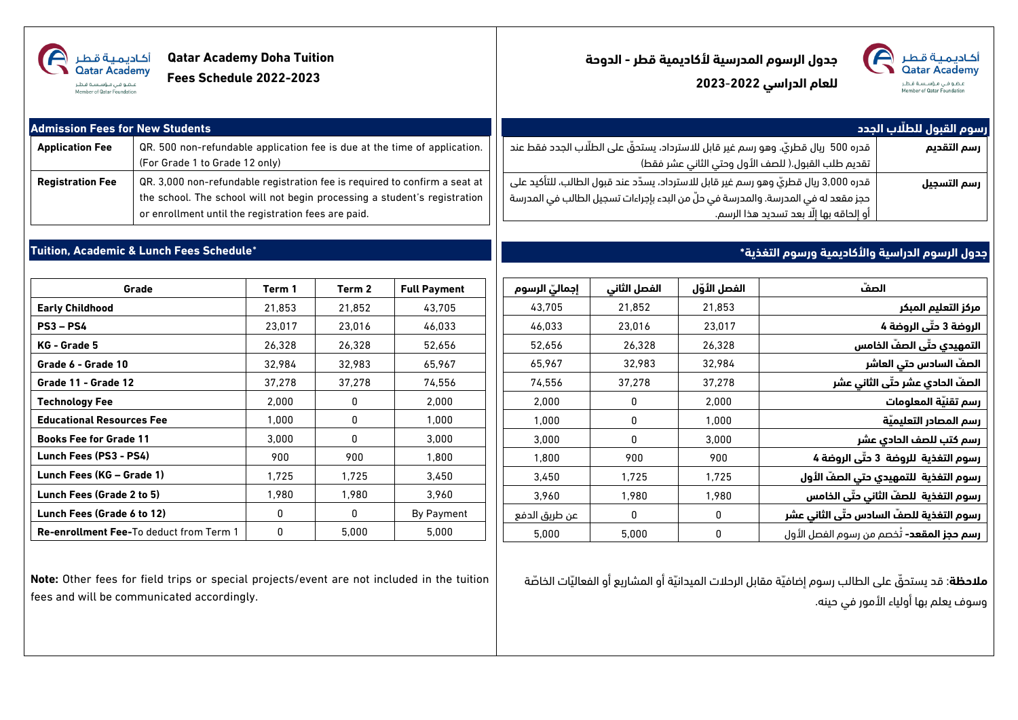| <b>Qatar Academy Doha Tuition</b><br>أكاديمية قطر<br>Qatar Academy<br>Fees Schedule 2022-2023<br>ع. فى مۇسسة قـطـر<br>Member of Oatar Foundation |                                                                                                                                                                                                                |        |        | جدول الرسوم المدرسية لأكاديمية قطر - الدوحة<br>أكاديمية قطر<br>Qatar Academy<br>للعام الدراسي 2022-2023<br>عضو فی ، مؤسسة قطر<br>Member of Qatar Foundation |                                                                                                                                                                                                                          |              |              |                                                 |                            |
|--------------------------------------------------------------------------------------------------------------------------------------------------|----------------------------------------------------------------------------------------------------------------------------------------------------------------------------------------------------------------|--------|--------|-------------------------------------------------------------------------------------------------------------------------------------------------------------|--------------------------------------------------------------------------------------------------------------------------------------------------------------------------------------------------------------------------|--------------|--------------|-------------------------------------------------|----------------------------|
| <b>Admission Fees for New Students</b>                                                                                                           |                                                                                                                                                                                                                |        |        |                                                                                                                                                             |                                                                                                                                                                                                                          |              |              |                                                 | رسوم القبول للطلّاب الجدد  |
| <b>Application Fee</b>                                                                                                                           | QR. 500 non-refundable application fee is due at the time of application.<br>(For Grade 1 to Grade 12 only)                                                                                                    |        |        |                                                                                                                                                             | قدره 500 ريال قطريّ. وهو رسم غير قابل للاسترداد، يستحقُّ على الطلَّاب الجدد فقط عند<br>رسم التقديم<br>تقديم طلب القبول.( للصف الأول وحتي الثاني عشر فقط)                                                                 |              |              |                                                 |                            |
| <b>Registration Fee</b>                                                                                                                          | QR. 3,000 non-refundable registration fee is required to confirm a seat at<br>the school. The school will not begin processing a student's registration<br>or enrollment until the registration fees are paid. |        |        |                                                                                                                                                             | َ قدره 3,000 ريال قطريّ وهو رسم غير قابل للاسترداد، يسدّد عند قبول الطالب، للتأكيد على<br>حجز مقعد له في المدرسة. والمدرسة في حلَّ من البدء بإجراءات تسجيل الطالب في المدرسة<br>أو إلحاقه بها إلَّا بعد تسديد هذا الرسم. |              |              | رسم التسجيل                                     |                            |
|                                                                                                                                                  | Tuition, Academic & Lunch Fees Schedule*                                                                                                                                                                       |        |        |                                                                                                                                                             |                                                                                                                                                                                                                          |              |              | جدول الرسوم الدراسية والأكاديمية ورسوم التغذية* |                            |
| Grade                                                                                                                                            |                                                                                                                                                                                                                | Term 1 | Term 2 | <b>Full Payment</b>                                                                                                                                         | إجماليّ الرسوم                                                                                                                                                                                                           | الفصل الثاني | الفصل الأوّل | الصفّ                                           |                            |
| <b>Early Childhood</b>                                                                                                                           |                                                                                                                                                                                                                | 21,853 | 21,852 | 43,705                                                                                                                                                      | 43.705                                                                                                                                                                                                                   | 21,852       | 21,853       |                                                 | مركز التعليم المبكر        |
| $PS3 - PS4$                                                                                                                                      |                                                                                                                                                                                                                | 23,017 | 23,016 | 46,033                                                                                                                                                      | 46,033                                                                                                                                                                                                                   | 23,016       | 23,017       |                                                 | الروضة 3 حتّى الروضة 4     |
| KG - Grade 5                                                                                                                                     |                                                                                                                                                                                                                | 26,328 | 26,328 | 52,656                                                                                                                                                      | 52,656                                                                                                                                                                                                                   | 26,328       | 26,328       |                                                 | التمهيدي حتّى الصفّ الخامس |

| مركز التعليم المبكر              | 21.853 | 21.852 | 43,705 |
|----------------------------------|--------|--------|--------|
| الروضة 3 حتّى الروضة 4           | 23.017 | 23,016 | 46,033 |
| التمهيدي حتّى الصفّ الخامس       | 26,328 | 26,328 | 52,656 |
| الصفّ السادس حتى العاشر          | 32.984 | 32,983 | 65,967 |
| الصفّ الحادي عشر حتّى الثاني عشر | 37,278 | 37,278 | 74,556 |
|                                  |        |        |        |

| الصفّ السادس حتى العاشر                          | 32.984 | 32,983 | 65.967        |
|--------------------------------------------------|--------|--------|---------------|
| الصفّ الحادي عشر حتّى الثاني عشر                 | 37,278 | 37.278 | 74.556        |
| رسم تقنيّة المعلومات                             | 2,000  | 0      | 2.000         |
| رسم المصادر التعليميّة                           | 1.000  | 0      | 1.000         |
| رسم كتب للصف الحادي عشر                          | 3.000  | 0      | 3.000         |
| رسوم التغذية الروضة 3 حتّى الروضة 4              | 900    | 900    | 1.800         |
| رسوم التغذية  للتمهيدي حتى الصفّ الأول           | 1.725  | 1.725  | 3.450         |
| رسوم التغذية  للصفّ الثاني حتّى الخامس           | 1.980  | 1.980  | 3.960         |
| رسوم التغذية للصفّ السادس حتّى الثاني عشر        | 0      | 0      | عن طريق الدفع |
| <b>رسم حجز المقعد-</b> تُخصم من رسوم الفصل الأول | 0      | 5.000  | 5.000         |

**مّلحظة**: قد يستحّق على الطالب رسوم إضافّية مقابل الرحالت الميدانّية أو المشاريع أو الفعالّيات الخاّصة وسوف يعلم بها أولياء األمور في حينه.

**Note:** Other fees for field trips or special projects/event are not included in the tuition fees and will be communicated accordingly.

**Grade 6 - Grade 10** 32,984 32,983 65,967 **Grade 11 - Grade 12** 37,278 37,278 74,556 **Technology Fee** 2,000 0 2,000 **Educational Resources Fee**  $\begin{array}{|c|c|c|c|c|} \hline \end{array}$  1,000  $\begin{array}{|c|c|c|c|c|} \hline \end{array}$  1,000 1,000 **Books Fee for Grade 11 13,000 1 1 1 1 1 1 3,000 Lunch Fees (PS3 - PS4)**  $\begin{array}{|c|c|c|c|c|c|c|} \hline \end{array}$  900  $\begin{array}{|c|c|c|c|c|c|} \hline \end{array}$  900  $\begin{array}{|c|c|c|c|c|} \hline \end{array}$  900  $\begin{array}{|c|c|c|c|c|c|} \hline \end{array}$  1,800 **Lunch Fees (KG – Grade 1)** 1,725 1,725 3,450 **Lunch Fees (Grade 2 to 5)** 1,980 1,980 3,960 **Lunch Fees (Grade 6 to 12)**  $\begin{array}{ccc} \hline \end{array}$  0  $\begin{array}{ccc} \hline \end{array}$  0 By Payment **Re-enrollment Fee-**To deduct from Term 1 | 0 | 5,000 | 5,000